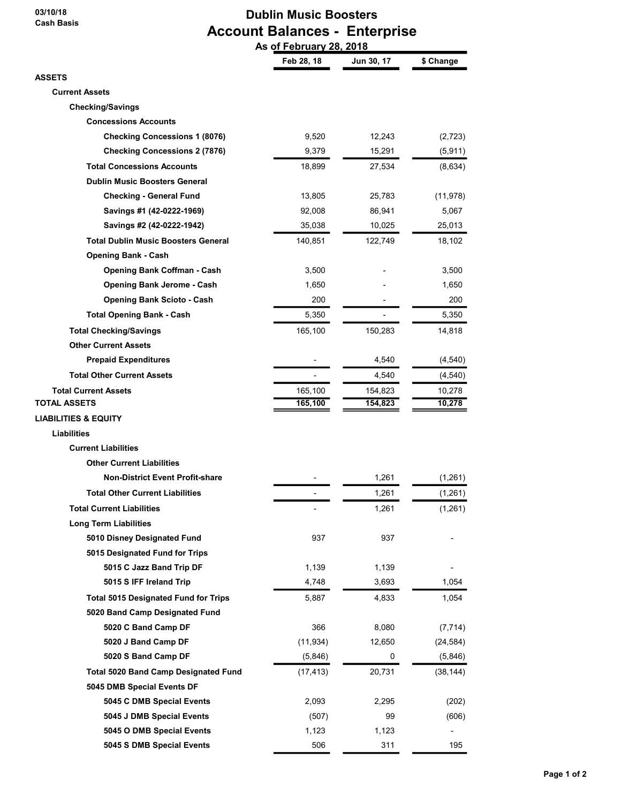### 03/10/18 Cash Basis

# Dublin Music Boosters Account Balances - Enterprise

|                                             | As of February 28, 2018 |            |           |
|---------------------------------------------|-------------------------|------------|-----------|
|                                             | Feb 28, 18              | Jun 30, 17 | \$ Change |
| <b>ASSETS</b>                               |                         |            |           |
| <b>Current Assets</b>                       |                         |            |           |
| <b>Checking/Savings</b>                     |                         |            |           |
| <b>Concessions Accounts</b>                 |                         |            |           |
| <b>Checking Concessions 1 (8076)</b>        | 9,520                   | 12,243     | (2,723)   |
| <b>Checking Concessions 2 (7876)</b>        | 9,379                   | 15,291     | (5, 911)  |
| <b>Total Concessions Accounts</b>           | 18,899                  | 27,534     | (8,634)   |
| <b>Dublin Music Boosters General</b>        |                         |            |           |
| <b>Checking - General Fund</b>              | 13,805                  | 25,783     | (11, 978) |
| Savings #1 (42-0222-1969)                   | 92,008                  | 86,941     | 5,067     |
| Savings #2 (42-0222-1942)                   | 35,038                  | 10,025     | 25,013    |
| <b>Total Dublin Music Boosters General</b>  | 140,851                 | 122,749    | 18,102    |
| <b>Opening Bank - Cash</b>                  |                         |            |           |
| <b>Opening Bank Coffman - Cash</b>          | 3,500                   |            | 3,500     |
| <b>Opening Bank Jerome - Cash</b>           | 1,650                   |            | 1,650     |
| <b>Opening Bank Scioto - Cash</b>           | 200                     |            | 200       |
| <b>Total Opening Bank - Cash</b>            | 5,350                   |            | 5,350     |
| <b>Total Checking/Savings</b>               | 165,100                 | 150,283    | 14,818    |
| <b>Other Current Assets</b>                 |                         |            |           |
| <b>Prepaid Expenditures</b>                 |                         | 4,540      | (4, 540)  |
| <b>Total Other Current Assets</b>           |                         | 4,540      | (4, 540)  |
| <b>Total Current Assets</b>                 | 165,100                 | 154,823    | 10,278    |
| TOTAL ASSETS                                | 165,100                 | 154,823    | 10,278    |
| <b>LIABILITIES &amp; EQUITY</b>             |                         |            |           |
| <b>Liabilities</b>                          |                         |            |           |
| <b>Current Liabilities</b>                  |                         |            |           |
| <b>Other Current Liabilities</b>            |                         |            |           |
| <b>Non-District Event Profit-share</b>      |                         | 1.261      | (1,261)   |
| <b>Total Other Current Liabilities</b>      |                         | 1,261      | (1,261)   |
| <b>Total Current Liabilities</b>            |                         | 1,261      | (1,261)   |
| <b>Long Term Liabilities</b>                |                         |            |           |
| 5010 Disney Designated Fund                 | 937                     | 937        |           |
| 5015 Designated Fund for Trips              |                         |            |           |
| 5015 C Jazz Band Trip DF                    | 1,139                   | 1,139      |           |
| 5015 S IFF Ireland Trip                     | 4,748                   | 3,693      | 1,054     |
| <b>Total 5015 Designated Fund for Trips</b> | 5,887                   | 4,833      | 1,054     |
| 5020 Band Camp Designated Fund              |                         |            |           |
| 5020 C Band Camp DF                         | 366                     | 8,080      | (7, 714)  |
| 5020 J Band Camp DF                         | (11, 934)               | 12,650     | (24, 584) |
| 5020 S Band Camp DF                         | (5,846)                 | 0          | (5,846)   |
| <b>Total 5020 Band Camp Designated Fund</b> | (17, 413)               | 20,731     | (38, 144) |
| 5045 DMB Special Events DF                  |                         |            |           |
| 5045 C DMB Special Events                   | 2,093                   | 2,295      | (202)     |
| 5045 J DMB Special Events                   | (507)                   | 99         | (606)     |
| 5045 O DMB Special Events                   | 1,123                   | 1,123      |           |
| 5045 S DMB Special Events                   | 506                     | 311        | 195       |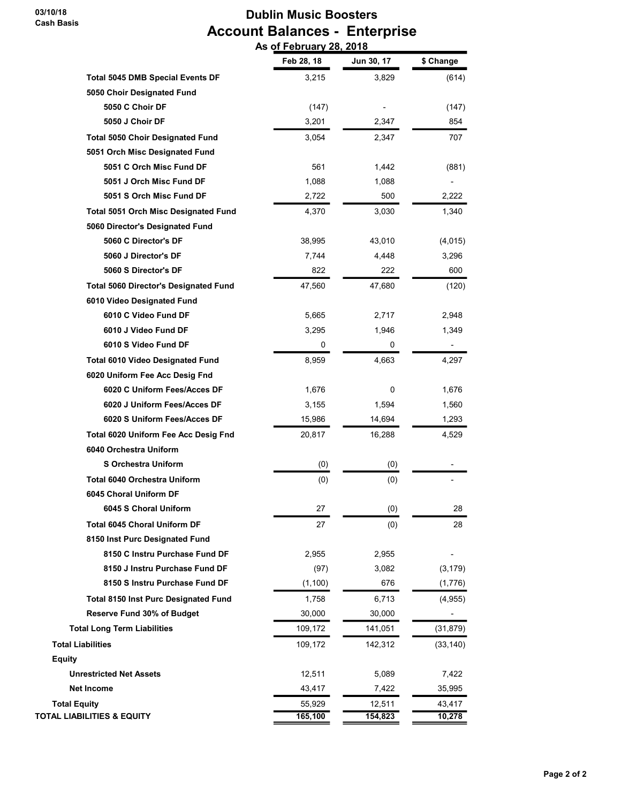03/10/18 Cash Basis

## Dublin Music Boosters Account Balances - Enterprise As of February 28, 2018

|                                              | Feb 28, 18 | Jun 30, 17 | \$ Change |
|----------------------------------------------|------------|------------|-----------|
| <b>Total 5045 DMB Special Events DF</b>      | 3,215      | 3,829      | (614)     |
| 5050 Choir Designated Fund                   |            |            |           |
| 5050 C Choir DF                              | (147)      |            | (147)     |
| 5050 J Choir DF                              | 3,201      | 2,347      | 854       |
| <b>Total 5050 Choir Designated Fund</b>      | 3,054      | 2,347      | 707       |
| 5051 Orch Misc Designated Fund               |            |            |           |
| 5051 C Orch Misc Fund DF                     | 561        | 1,442      | (881)     |
| 5051 J Orch Misc Fund DF                     | 1,088      | 1,088      |           |
| 5051 S Orch Misc Fund DF                     | 2,722      | 500        | 2,222     |
| <b>Total 5051 Orch Misc Designated Fund</b>  | 4,370      | 3,030      | 1,340     |
| 5060 Director's Designated Fund              |            |            |           |
| 5060 C Director's DF                         | 38,995     | 43,010     | (4,015)   |
| 5060 J Director's DF                         | 7,744      | 4,448      | 3,296     |
| 5060 S Director's DF                         | 822        | 222        | 600       |
| <b>Total 5060 Director's Designated Fund</b> | 47,560     | 47,680     | (120)     |
| 6010 Video Designated Fund                   |            |            |           |
| 6010 C Video Fund DF                         | 5,665      | 2,717      | 2,948     |
| 6010 J Video Fund DF                         | 3,295      | 1,946      | 1,349     |
| 6010 S Video Fund DF                         | 0          | 0          |           |
| <b>Total 6010 Video Designated Fund</b>      | 8,959      | 4,663      | 4,297     |
| 6020 Uniform Fee Acc Desig Fnd               |            |            |           |
| 6020 C Uniform Fees/Acces DF                 | 1,676      | 0          | 1,676     |
| 6020 J Uniform Fees/Acces DF                 | 3,155      | 1,594      | 1,560     |
| 6020 S Uniform Fees/Acces DF                 | 15,986     | 14,694     | 1,293     |
| Total 6020 Uniform Fee Acc Desig Fnd         | 20,817     | 16,288     | 4,529     |
| 6040 Orchestra Uniform                       |            |            |           |
| <b>S Orchestra Uniform</b>                   | (0)        | (0)        |           |
| <b>Total 6040 Orchestra Uniform</b>          | (0)        | (0)        |           |
| 6045 Choral Uniform DF                       |            |            |           |
| 6045 S Choral Uniform                        | 27         | (0)        | 28        |
| <b>Total 6045 Choral Uniform DF</b>          | 27         | (0)        | 28        |
| 8150 Inst Purc Designated Fund               |            |            |           |
| 8150 C Instru Purchase Fund DF               | 2,955      | 2,955      |           |
| 8150 J Instru Purchase Fund DF               | (97)       | 3,082      | (3, 179)  |
| 8150 S Instru Purchase Fund DF               | (1, 100)   | 676        | (1,776)   |
| <b>Total 8150 Inst Purc Designated Fund</b>  | 1,758      | 6,713      | (4, 955)  |
| Reserve Fund 30% of Budget                   | 30,000     | 30,000     |           |
| <b>Total Long Term Liabilities</b>           | 109,172    | 141,051    | (31, 879) |
| <b>Total Liabilities</b>                     | 109,172    | 142,312    | (33, 140) |
| <b>Equity</b>                                |            |            |           |
| <b>Unrestricted Net Assets</b>               | 12,511     | 5,089      | 7,422     |
| <b>Net Income</b>                            | 43,417     | 7,422      | 35,995    |
| <b>Total Equity</b>                          | 55,929     | 12,511     | 43,417    |
| TOTAL LIABILITIES & EQUITY                   | 165,100    | 154,823    | 10,278    |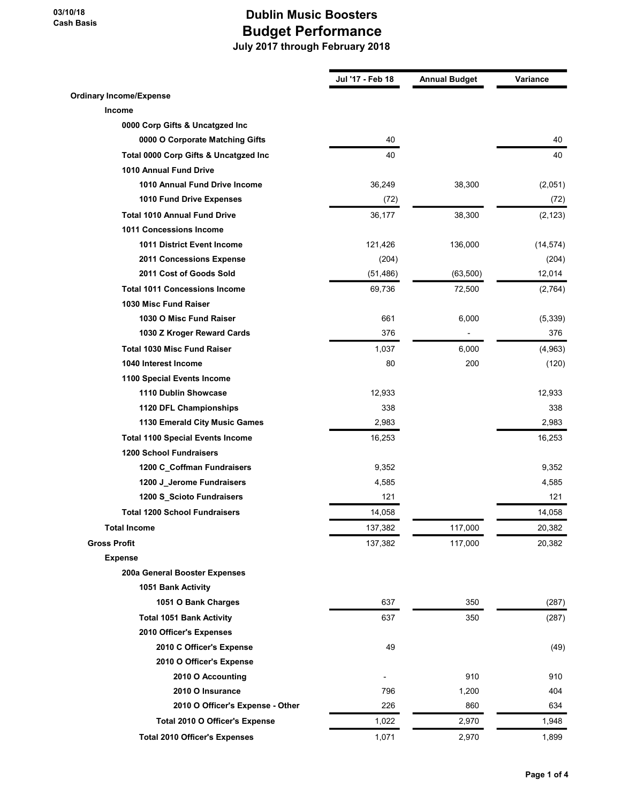|                                         | Jul '17 - Feb 18 | <b>Annual Budget</b> | Variance  |
|-----------------------------------------|------------------|----------------------|-----------|
| <b>Ordinary Income/Expense</b>          |                  |                      |           |
| Income                                  |                  |                      |           |
| 0000 Corp Gifts & Uncatqzed Inc         |                  |                      |           |
| 0000 O Corporate Matching Gifts         | 40               |                      | 40        |
| Total 0000 Corp Gifts & Uncatgzed Inc   | 40               |                      | 40        |
| 1010 Annual Fund Drive                  |                  |                      |           |
| 1010 Annual Fund Drive Income           | 36,249           | 38,300               | (2,051)   |
| 1010 Fund Drive Expenses                | (72)             |                      | (72)      |
| <b>Total 1010 Annual Fund Drive</b>     | 36,177           | 38,300               | (2, 123)  |
| <b>1011 Concessions Income</b>          |                  |                      |           |
| <b>1011 District Event Income</b>       | 121,426          | 136,000              | (14, 574) |
| 2011 Concessions Expense                | (204)            |                      | (204)     |
| 2011 Cost of Goods Sold                 | (51, 486)        | (63,500)             | 12,014    |
| <b>Total 1011 Concessions Income</b>    | 69,736           | 72,500               | (2,764)   |
| 1030 Misc Fund Raiser                   |                  |                      |           |
| 1030 O Misc Fund Raiser                 | 661              | 6,000                | (5, 339)  |
| 1030 Z Kroger Reward Cards              | 376              |                      | 376       |
| <b>Total 1030 Misc Fund Raiser</b>      | 1,037            | 6,000                | (4,963)   |
| 1040 Interest Income                    | 80               | 200                  | (120)     |
| 1100 Special Events Income              |                  |                      |           |
| 1110 Dublin Showcase                    | 12,933           |                      | 12,933    |
| 1120 DFL Championships                  | 338              |                      | 338       |
| 1130 Emerald City Music Games           | 2,983            |                      | 2,983     |
| <b>Total 1100 Special Events Income</b> | 16,253           |                      | 16,253    |
| <b>1200 School Fundraisers</b>          |                  |                      |           |
| 1200 C Coffman Fundraisers              | 9,352            |                      | 9,352     |
| 1200 J_Jerome Fundraisers               | 4,585            |                      | 4,585     |
| 1200 S_Scioto Fundraisers               | 121              |                      | 121       |
| <b>Total 1200 School Fundraisers</b>    | 14,058           |                      | 14,058    |
| <b>Total Income</b>                     | 137,382          | 117,000              | 20,382    |
| <b>Gross Profit</b>                     | 137,382          | 117,000              | 20,382    |
| <b>Expense</b>                          |                  |                      |           |
| 200a General Booster Expenses           |                  |                      |           |
| 1051 Bank Activity                      |                  |                      |           |
| 1051 O Bank Charges                     | 637              | 350                  | (287)     |
| <b>Total 1051 Bank Activity</b>         | 637              | 350                  | (287)     |
| 2010 Officer's Expenses                 |                  |                      |           |
| 2010 C Officer's Expense                | 49               |                      | (49)      |
| 2010 O Officer's Expense                |                  |                      |           |
| 2010 O Accounting                       |                  | 910                  | 910       |
| 2010 O Insurance                        | 796              | 1,200                | 404       |
| 2010 O Officer's Expense - Other        | 226              | 860                  | 634       |
|                                         |                  |                      |           |
| Total 2010 O Officer's Expense          | 1,022            | 2,970                | 1,948     |
| <b>Total 2010 Officer's Expenses</b>    | 1,071            | 2,970                | 1,899     |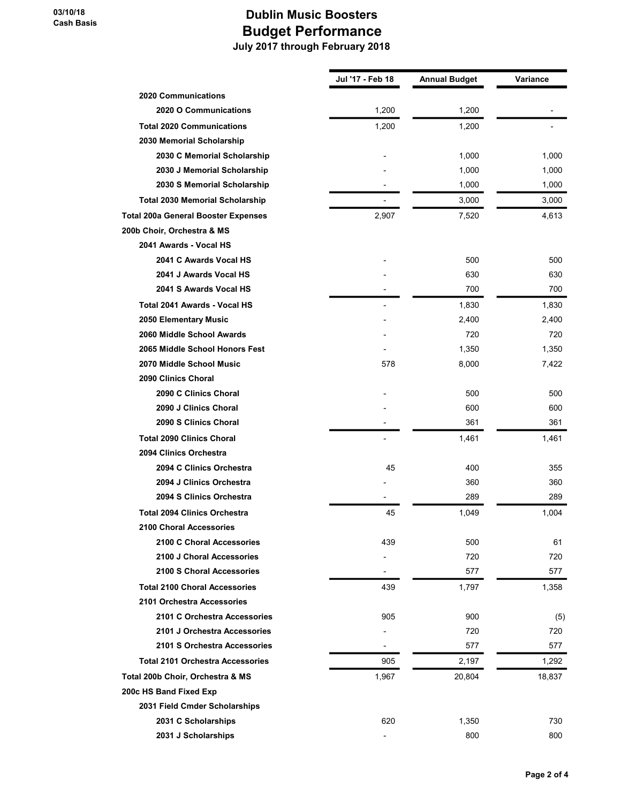|                                            | Jul '17 - Feb 18 | <b>Annual Budget</b> | Variance |
|--------------------------------------------|------------------|----------------------|----------|
| <b>2020 Communications</b>                 |                  |                      |          |
| 2020 O Communications                      | 1,200            | 1,200                |          |
| <b>Total 2020 Communications</b>           | 1,200            | 1,200                |          |
| 2030 Memorial Scholarship                  |                  |                      |          |
| 2030 C Memorial Scholarship                |                  | 1,000                | 1,000    |
| 2030 J Memorial Scholarship                |                  | 1,000                | 1,000    |
| 2030 S Memorial Scholarship                |                  | 1,000                | 1,000    |
| <b>Total 2030 Memorial Scholarship</b>     |                  | 3,000                | 3,000    |
| <b>Total 200a General Booster Expenses</b> | 2,907            | 7,520                | 4,613    |
| 200b Choir, Orchestra & MS                 |                  |                      |          |
| 2041 Awards - Vocal HS                     |                  |                      |          |
| 2041 C Awards Vocal HS                     |                  | 500                  | 500      |
| 2041 J Awards Vocal HS                     |                  | 630                  | 630      |
| 2041 S Awards Vocal HS                     |                  | 700                  | 700      |
| Total 2041 Awards - Vocal HS               |                  | 1,830                | 1,830    |
| 2050 Elementary Music                      |                  | 2,400                | 2,400    |
| 2060 Middle School Awards                  |                  | 720                  | 720      |
| 2065 Middle School Honors Fest             |                  | 1,350                | 1,350    |
| 2070 Middle School Music                   | 578              | 8,000                | 7,422    |
| 2090 Clinics Choral                        |                  |                      |          |
| 2090 C Clinics Choral                      |                  | 500                  | 500      |
| 2090 J Clinics Choral                      |                  | 600                  | 600      |
| 2090 S Clinics Choral                      |                  | 361                  | 361      |
| <b>Total 2090 Clinics Choral</b>           |                  | 1,461                | 1,461    |
| 2094 Clinics Orchestra                     |                  |                      |          |
| 2094 C Clinics Orchestra                   | 45               | 400                  | 355      |
| 2094 J Clinics Orchestra                   |                  | 360                  | 360      |
| 2094 S Clinics Orchestra                   |                  | 289                  | 289      |
| <b>Total 2094 Clinics Orchestra</b>        | 45               | 1,049                | 1,004    |
| 2100 Choral Accessories                    |                  |                      |          |
| 2100 C Choral Accessories                  | 439              | 500                  | 61       |
| 2100 J Choral Accessories                  |                  | 720                  | 720      |
| 2100 S Choral Accessories                  |                  | 577                  | 577      |
| <b>Total 2100 Choral Accessories</b>       | 439              | 1,797                | 1,358    |
| 2101 Orchestra Accessories                 |                  |                      |          |
| 2101 C Orchestra Accessories               | 905              | 900                  | (5)      |
| 2101 J Orchestra Accessories               |                  | 720                  | 720      |
| 2101 S Orchestra Accessories               |                  | 577                  | 577      |
| <b>Total 2101 Orchestra Accessories</b>    | 905              | 2,197                | 1,292    |
| Total 200b Choir, Orchestra & MS           | 1,967            | 20,804               | 18,837   |
| 200c HS Band Fixed Exp                     |                  |                      |          |
| 2031 Field Cmder Scholarships              |                  |                      |          |
| 2031 C Scholarships                        | 620              | 1,350                | 730      |
| 2031 J Scholarships                        |                  | 800                  | 800      |
|                                            |                  |                      |          |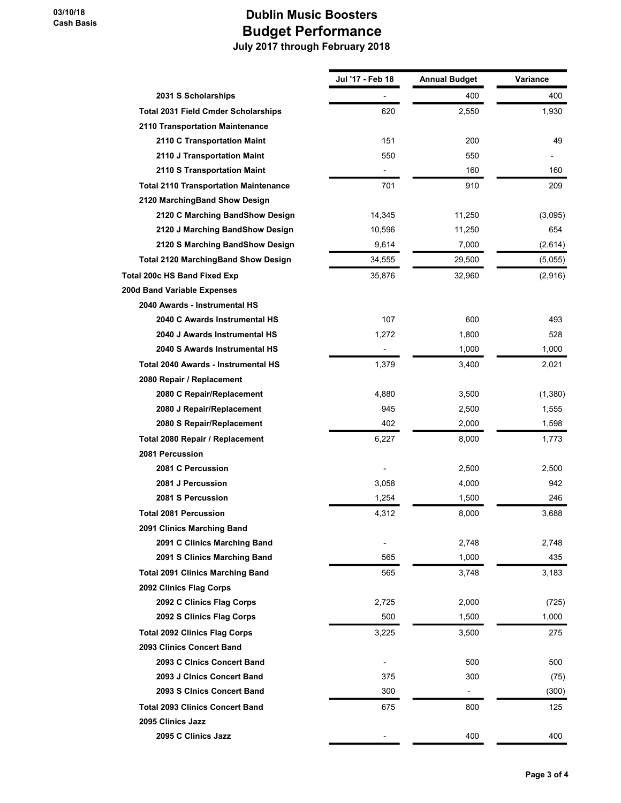|                                              | Jul '17 - Feb 18 | Annual Budget            | Variance |
|----------------------------------------------|------------------|--------------------------|----------|
| 2031 S Scholarships                          |                  | 400                      | 400      |
| <b>Total 2031 Field Cmder Scholarships</b>   | 620              | 2,550                    | 1,930    |
| 2110 Transportation Maintenance              |                  |                          |          |
| 2110 C Transportation Maint                  | 151              | 200                      | 49       |
| 2110 J Transportation Maint                  | 550              | 550                      |          |
| 2110 S Transportation Maint                  |                  | 160                      | 160      |
| <b>Total 2110 Transportation Maintenance</b> | 701              | 910                      | 209      |
| 2120 MarchingBand Show Design                |                  |                          |          |
| 2120 C Marching BandShow Design              | 14,345           | 11,250                   | (3,095)  |
| 2120 J Marching BandShow Design              | 10,596           | 11,250                   | 654      |
| 2120 S Marching BandShow Design              | 9,614            | 7,000                    | (2,614)  |
| <b>Total 2120 MarchingBand Show Design</b>   | 34,555           | 29,500                   | (5,055)  |
| Total 200c HS Band Fixed Exp                 | 35,876           | 32,960                   | (2,916)  |
| 200d Band Variable Expenses                  |                  |                          |          |
| 2040 Awards - Instrumental HS                |                  |                          |          |
| 2040 C Awards Instrumental HS                | 107              | 600                      | 493      |
| 2040 J Awards Instrumental HS                | 1,272            | 1,800                    | 528      |
| 2040 S Awards Instrumental HS                |                  | 1,000                    | 1,000    |
| Total 2040 Awards - Instrumental HS          | 1,379            | 3,400                    | 2,021    |
| 2080 Repair / Replacement                    |                  |                          |          |
| 2080 C Repair/Replacement                    | 4,880            | 3,500                    | (1,380)  |
| 2080 J Repair/Replacement                    | 945              | 2,500                    | 1,555    |
| 2080 S Repair/Replacement                    | 402              | 2,000                    | 1,598    |
| Total 2080 Repair / Replacement              | 6,227            | 8,000                    | 1,773    |
| 2081 Percussion                              |                  |                          |          |
| 2081 C Percussion                            |                  | 2,500                    | 2,500    |
| 2081 J Percussion                            | 3,058            | 4,000                    | 942      |
| 2081 S Percussion                            | 1,254            | 1,500                    | 246      |
| <b>Total 2081 Percussion</b>                 | 4,312            | 8,000                    | 3,688    |
| 2091 Clinics Marching Band                   |                  |                          |          |
| 2091 C Clinics Marching Band                 |                  | 2,748                    | 2,748    |
| 2091 S Clinics Marching Band                 | 565              | 1,000                    | 435      |
| <b>Total 2091 Clinics Marching Band</b>      | 565              | 3,748                    | 3,183    |
| 2092 Clinics Flag Corps                      |                  |                          |          |
| 2092 C Clinics Flag Corps                    | 2,725            | 2,000                    | (725)    |
| 2092 S Clinics Flag Corps                    | 500              | 1,500                    | 1,000    |
| <b>Total 2092 Clinics Flag Corps</b>         | 3,225            | 3,500                    | 275      |
| 2093 Clinics Concert Band                    |                  |                          |          |
| 2093 C Cinics Concert Band                   |                  | 500                      | 500      |
| 2093 J Clnics Concert Band                   | 375              | 300                      | (75)     |
| 2093 S CInics Concert Band                   | 300              | $\overline{\phantom{0}}$ | (300)    |
| <b>Total 2093 Clinics Concert Band</b>       | 675              | 800                      | 125      |
| 2095 Clinics Jazz                            |                  |                          |          |
| 2095 C Clinics Jazz                          |                  | 400                      | 400      |